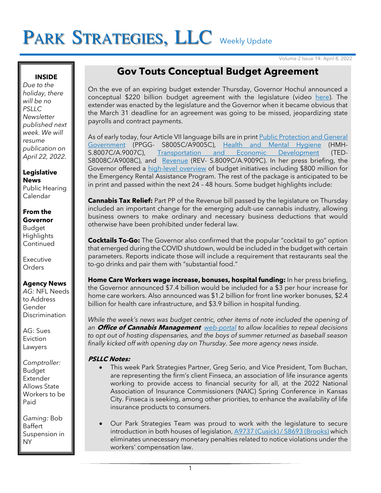# PARK STRATEGIES, LLC Weekly Update

Volume 2 Issue 14: April 8, 2022

## **INSIDE**

*Due to the holiday, there will be no PSLLC Newsletter published next week. We will resume publication on April 22, 2022.*

**Legislative News** Public Hearing Calendar

#### **From the Governor**

Budget **Highlights Continued** 

Executive **Orders** 

# **Agency News**

*AG:* NFL Needs to Address Gender **Discrimination** 

AG: Sues Eviction Lawyers

*Comptroller:* Budget Extender Allows State Workers to be Paid

*Gaming:* Bob Baffert Suspension in NY

# **Gov Touts Conceptual Budget Agreement**

On the eve of an expiring budget extender Thursday, Governor Hochul announced a conceptual \$220 billion budget agreement with the legislature (video [here\)](https://www.youtube.com/watch?v=rcF8VkFhhEg). The extender was enacted by the legislature and the Governor when it became obvious that the March 31 deadline for an agreement was going to be missed, jeopardizing state payrolls and contract payments.

As of early today, four Article VII language bills are in print Public Protection and General [Government](https://www.nyassembly.gov/leg/?default_fld=%0D%0A&leg_video=&bn=A09005&term=2021&Summary=Y&Actions=Y&Text=Y) (PPGG- S8005C/A9005C), [Health and Mental Hygiene](https://nyassembly.gov/leg/?bn=S08007&term=2021) (HMH-S.8007C/A.9007C), [Transportation and Economic Development](https://www.nyassembly.gov/leg/?default_fld=%0D%0A&leg_video=&bn=A09008&term=2021&Summary=Y&Actions=Y&Text=Y) (TED-S8008C/A9008C), and [Revenue](https://www.nyassembly.gov/leg/?default_fld=&leg_video=&bn=A09009&term=2021&Summary=Y&Actions=Y&Text=Y) (REV- S.8009C/A.9009C). In her press briefing, the Governor offered a [high-level overview](https://www.governor.ny.gov/news/governor-hochul-announces-agreement-fy-2023-new-york-state-budget) of budget initiatives including \$800 million for the Emergency Rental Assistance Program. The rest of the package is anticipated to be in print and passed within the next 24 – 48 hours. Some budget highlights include:

**Cannabis Tax Relief:** Part PP of the Revenue bill passed by the legislature on Thursday included an important change for the emerging adult-use cannabis industry, allowing business owners to make ordinary and necessary business deductions that would otherwise have been prohibited under federal law.

**Cocktails To-Go:** The Governor also confirmed that the popular "cocktail to go" option that emerged during the COVID shutdown, would be included in the budget with certain parameters. Reports indicate those will include a requirement that restaurants seal the to-go drinks and pair them with "substantial food."

**Home Care Workers wage increase, bonuses, hospital funding:** In her press briefing, the Governor announced \$7.4 billion would be included for a \$3 per hour increase for home care workers. Also announced was \$1.2 billion for front line worker bonuses, \$2.4 billion for health care infrastructure, and \$3.9 billion in hospital funding.

*While the week's news was budget centric, other items of note included the opening of an* **Office of Cannabis Management** *[web-portal](https://cannabis.ny.gov/news/office-cannabis-management-opens-web-portal-localities-file-repeals-decisions-opt-out-hosting) to allow localities to repeal decisions to opt out of hosting dispensaries, and the boys of summer returned as baseball season finally kicked off with opening day on Thursday. See more agency news inside*.

# **PSLLC Notes:**

- This week Park Strategies Partner, Greg Serio, and Vice President, Tom Buchan, are representing the firm's client Finseca, an association of life insurance agents working to provide access to financial security for all, at the 2022 National Association of Insurance Commissioners (NAIC) Spring Conference in Kansas City. Finseca is seeking, among other priorities, to enhance the availability of life insurance products to consumers.
- Our Park Strategies Team was proud to work with the legislature to secure introduction in both houses of legislation[, A9737 \(Cusick\) / S8693 \(Brooks\)](https://www.nysenate.gov/legislation/bills/2021/s8693) which eliminates unnecessary monetary penalties related to notice violations under the workers' compensation law.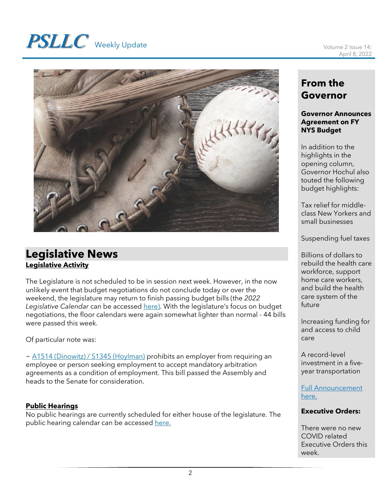# **PSLLC** Weekly Update Volume 2 Issue 14:



# **Legislative News Legislative Activity**

The Legislature is not scheduled to be in session next week. However, in the now unlikely event that budget negotiations do not conclude today or over the weekend, the legislature may return to finish passing budget bills (the *2022 Legislative Calendar* can be accessed [here\)](https://www.nyassembly.gov/leg/docs/sessioncalendar_2022.pdf). With the legislature's focus on budget negotiations, the floor calendars were again somewhat lighter than normal - 44 bills were passed this week.

Of particular note was:

~ [A1514 \(Dinowitz\) / S1345 \(Hoylman\)](https://www.nysenate.gov/legislation/bills/2021/s1345) prohibits an employer from requiring an employee or person seeking employment to accept mandatory arbitration agreements as a condition of employment. This bill passed the Assembly and heads to the Senate for consideration.

# **Public Hearings**

No public hearings are currently scheduled for either house of the legislature. The public hearing calendar can be accessed [here.](https://www.nyassembly.gov/leg/?sh=hear)

# **From the Governor**

#### **Governor Announces Agreement on FY NYS Budget**

In addition to the highlights in the opening column, Governor Hochul also touted the following budget highlights:

Tax relief for middleclass New Yorkers and small businesses

Suspending fuel taxes

Billions of dollars to rebuild the health care workforce, support home care workers, and build the health care system of the future

Increasing funding for and access to child care

A record-level investment in a fiveyear transportation

## [Full Announcement](https://www.governor.ny.gov/news/governor-hochul-announces-agreement-fy-2023-new-york-state-budget)  [here.](https://www.governor.ny.gov/news/governor-hochul-announces-agreement-fy-2023-new-york-state-budget)

# **Executive Orders:**

There were no new COVID related Executive Orders this week.